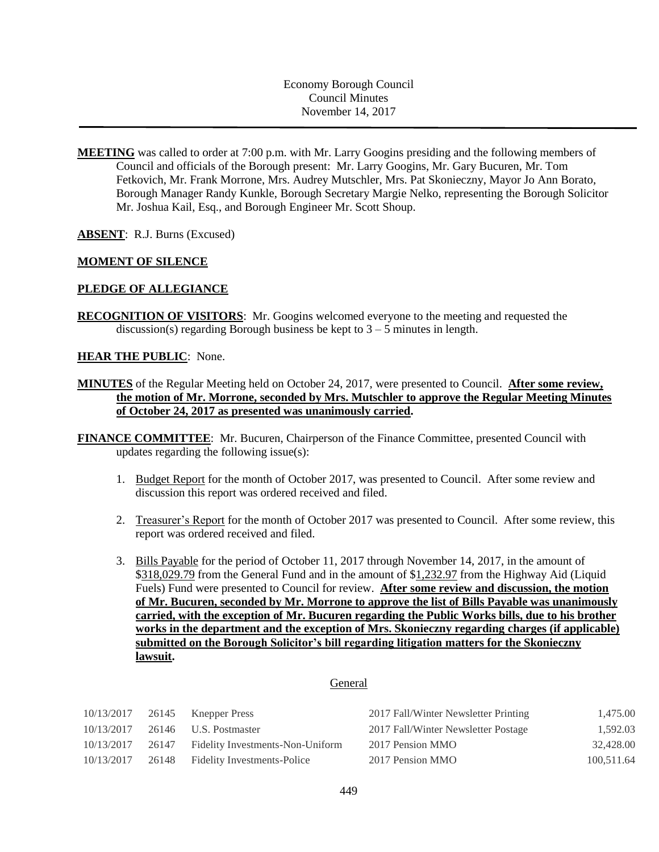Economy Borough Council Council Minutes November 14, 2017

**MEETING** was called to order at 7:00 p.m. with Mr. Larry Googins presiding and the following members of Council and officials of the Borough present: Mr. Larry Googins, Mr. Gary Bucuren, Mr. Tom Fetkovich, Mr. Frank Morrone, Mrs. Audrey Mutschler, Mrs. Pat Skonieczny, Mayor Jo Ann Borato, Borough Manager Randy Kunkle, Borough Secretary Margie Nelko, representing the Borough Solicitor Mr. Joshua Kail, Esq., and Borough Engineer Mr. Scott Shoup.

**ABSENT**: R.J. Burns (Excused)

## **MOMENT OF SILENCE**

## **PLEDGE OF ALLEGIANCE**

**RECOGNITION OF VISITORS**: Mr. Googins welcomed everyone to the meeting and requested the discussion(s) regarding Borough business be kept to  $3 - 5$  minutes in length.

## **HEAR THE PUBLIC**: None.

- **MINUTES** of the Regular Meeting held on October 24, 2017, were presented to Council. **After some review, the motion of Mr. Morrone, seconded by Mrs. Mutschler to approve the Regular Meeting Minutes of October 24, 2017 as presented was unanimously carried.**
- **FINANCE COMMITTEE**: Mr. Bucuren, Chairperson of the Finance Committee, presented Council with updates regarding the following issue(s):
	- 1. Budget Report for the month of October 2017, was presented to Council. After some review and discussion this report was ordered received and filed.
	- 2. Treasurer's Report for the month of October 2017 was presented to Council. After some review, this report was ordered received and filed.
	- 3. Bills Payable for the period of October 11, 2017 through November 14, 2017, in the amount of \$318,029.79 from the General Fund and in the amount of \$1,232.97 from the Highway Aid (Liquid Fuels) Fund were presented to Council for review. **After some review and discussion, the motion of Mr. Bucuren, seconded by Mr. Morrone to approve the list of Bills Payable was unanimously carried, with the exception of Mr. Bucuren regarding the Public Works bills, due to his brother works in the department and the exception of Mrs. Skonieczny regarding charges (if applicable) submitted on the Borough Solicitor's bill regarding litigation matters for the Skonieczny lawsuit.**

### General

| 10/13/2017 |       | 26145 Knepper Press               | 2017 Fall/Winter Newsletter Printing | 1,475.00   |
|------------|-------|-----------------------------------|--------------------------------------|------------|
| 10/13/2017 |       | 26146 U.S. Postmaster             | 2017 Fall/Winter Newsletter Postage  | 1,592.03   |
| 10/13/2017 | 26147 | Fidelity Investments-Non-Uniform  | 2017 Pension MMO                     | 32,428.00  |
| 10/13/2017 |       | 26148 Fidelity Investments-Police | 2017 Pension MMO                     | 100,511.64 |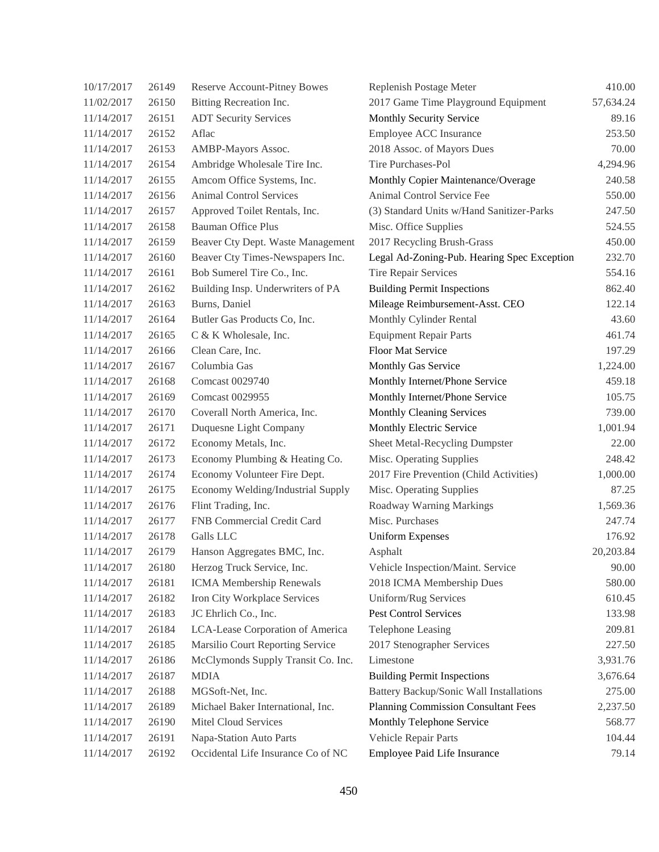| 10/17/2017 | 26149 | <b>Reserve Account-Pitney Bowes</b> | Replenish Postage Meter                     | 410.00    |
|------------|-------|-------------------------------------|---------------------------------------------|-----------|
| 11/02/2017 | 26150 | Bitting Recreation Inc.             | 2017 Game Time Playground Equipment         | 57,634.24 |
| 11/14/2017 | 26151 | <b>ADT Security Services</b>        | Monthly Security Service                    | 89.16     |
| 11/14/2017 | 26152 | Aflac                               | Employee ACC Insurance                      | 253.50    |
| 11/14/2017 | 26153 | AMBP-Mayors Assoc.                  | 2018 Assoc. of Mayors Dues                  | 70.00     |
| 11/14/2017 | 26154 | Ambridge Wholesale Tire Inc.        | Tire Purchases-Pol                          | 4,294.96  |
| 11/14/2017 | 26155 | Amcom Office Systems, Inc.          | Monthly Copier Maintenance/Overage          | 240.58    |
| 11/14/2017 | 26156 | <b>Animal Control Services</b>      | Animal Control Service Fee                  | 550.00    |
| 11/14/2017 | 26157 | Approved Toilet Rentals, Inc.       | (3) Standard Units w/Hand Sanitizer-Parks   | 247.50    |
| 11/14/2017 | 26158 | <b>Bauman Office Plus</b>           | Misc. Office Supplies                       | 524.55    |
| 11/14/2017 | 26159 | Beaver Cty Dept. Waste Management   | 2017 Recycling Brush-Grass                  | 450.00    |
| 11/14/2017 | 26160 | Beaver Cty Times-Newspapers Inc.    | Legal Ad-Zoning-Pub. Hearing Spec Exception | 232.70    |
| 11/14/2017 | 26161 | Bob Sumerel Tire Co., Inc.          | Tire Repair Services                        | 554.16    |
| 11/14/2017 | 26162 | Building Insp. Underwriters of PA   | <b>Building Permit Inspections</b>          | 862.40    |
| 11/14/2017 | 26163 | Burns, Daniel                       | Mileage Reimbursement-Asst. CEO             | 122.14    |
| 11/14/2017 | 26164 | Butler Gas Products Co, Inc.        | Monthly Cylinder Rental                     | 43.60     |
| 11/14/2017 | 26165 | C & K Wholesale, Inc.               | <b>Equipment Repair Parts</b>               | 461.74    |
| 11/14/2017 | 26166 | Clean Care, Inc.                    | Floor Mat Service                           | 197.29    |
| 11/14/2017 | 26167 | Columbia Gas                        | Monthly Gas Service                         | 1,224.00  |
| 11/14/2017 | 26168 | Comcast 0029740                     | Monthly Internet/Phone Service              | 459.18    |
| 11/14/2017 | 26169 | Comcast 0029955                     | Monthly Internet/Phone Service              | 105.75    |
| 11/14/2017 | 26170 | Coverall North America, Inc.        | Monthly Cleaning Services                   | 739.00    |
| 11/14/2017 | 26171 | Duquesne Light Company              | Monthly Electric Service                    | 1,001.94  |
| 11/14/2017 | 26172 | Economy Metals, Inc.                | Sheet Metal-Recycling Dumpster              | 22.00     |
| 11/14/2017 | 26173 | Economy Plumbing & Heating Co.      | Misc. Operating Supplies                    | 248.42    |
| 11/14/2017 | 26174 | Economy Volunteer Fire Dept.        | 2017 Fire Prevention (Child Activities)     | 1,000.00  |
| 11/14/2017 | 26175 | Economy Welding/Industrial Supply   | Misc. Operating Supplies                    | 87.25     |
| 11/14/2017 | 26176 | Flint Trading, Inc.                 | Roadway Warning Markings                    | 1,569.36  |
| 11/14/2017 | 26177 | FNB Commercial Credit Card          | Misc. Purchases                             | 247.74    |
| 11/14/2017 | 26178 | Galls LLC                           | <b>Uniform Expenses</b>                     | 176.92    |
| 11/14/2017 | 26179 | Hanson Aggregates BMC, Inc.         | Asphalt                                     | 20,203.84 |
| 11/14/2017 | 26180 | Herzog Truck Service, Inc.          | Vehicle Inspection/Maint. Service           | 90.00     |
| 11/14/2017 | 26181 | <b>ICMA</b> Membership Renewals     | 2018 ICMA Membership Dues                   | 580.00    |
| 11/14/2017 | 26182 | Iron City Workplace Services        | Uniform/Rug Services                        | 610.45    |
| 11/14/2017 | 26183 | JC Ehrlich Co., Inc.                | <b>Pest Control Services</b>                | 133.98    |
| 11/14/2017 | 26184 | LCA-Lease Corporation of America    | <b>Telephone Leasing</b>                    | 209.81    |
| 11/14/2017 | 26185 | Marsilio Court Reporting Service    | 2017 Stenographer Services                  | 227.50    |
| 11/14/2017 | 26186 | McClymonds Supply Transit Co. Inc.  | Limestone                                   | 3,931.76  |
| 11/14/2017 | 26187 | <b>MDIA</b>                         | <b>Building Permit Inspections</b>          | 3,676.64  |
| 11/14/2017 | 26188 | MGSoft-Net, Inc.                    | Battery Backup/Sonic Wall Installations     | 275.00    |
| 11/14/2017 | 26189 | Michael Baker International, Inc.   | Planning Commission Consultant Fees         | 2,237.50  |
| 11/14/2017 | 26190 | Mitel Cloud Services                | Monthly Telephone Service                   | 568.77    |
| 11/14/2017 | 26191 | Napa-Station Auto Parts             | Vehicle Repair Parts                        | 104.44    |
| 11/14/2017 | 26192 | Occidental Life Insurance Co of NC  | Employee Paid Life Insurance                | 79.14     |
|            |       |                                     |                                             |           |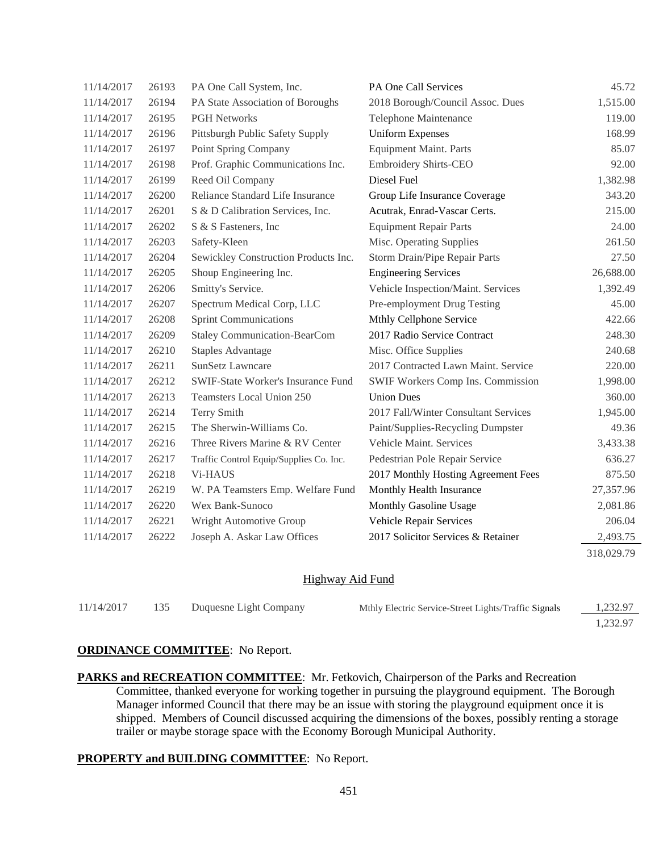| 11/14/2017 | 26193 | PA One Call System, Inc.                  | PA One Call Services                 | 45.72      |
|------------|-------|-------------------------------------------|--------------------------------------|------------|
| 11/14/2017 | 26194 | PA State Association of Boroughs          | 2018 Borough/Council Assoc. Dues     | 1,515.00   |
| 11/14/2017 | 26195 | <b>PGH Networks</b>                       | Telephone Maintenance                | 119.00     |
| 11/14/2017 | 26196 | Pittsburgh Public Safety Supply           | <b>Uniform Expenses</b>              | 168.99     |
| 11/14/2017 | 26197 | Point Spring Company                      | <b>Equipment Maint. Parts</b>        | 85.07      |
| 11/14/2017 | 26198 | Prof. Graphic Communications Inc.         | <b>Embroidery Shirts-CEO</b>         | 92.00      |
| 11/14/2017 | 26199 | Reed Oil Company                          | Diesel Fuel                          | 1,382.98   |
| 11/14/2017 | 26200 | Reliance Standard Life Insurance          | Group Life Insurance Coverage        | 343.20     |
| 11/14/2017 | 26201 | S & D Calibration Services, Inc.          | Acutrak, Enrad-Vascar Certs.         | 215.00     |
| 11/14/2017 | 26202 | S & S Fasteners, Inc.                     | <b>Equipment Repair Parts</b>        | 24.00      |
| 11/14/2017 | 26203 | Safety-Kleen                              | Misc. Operating Supplies             | 261.50     |
| 11/14/2017 | 26204 | Sewickley Construction Products Inc.      | Storm Drain/Pipe Repair Parts        | 27.50      |
| 11/14/2017 | 26205 | Shoup Engineering Inc.                    | <b>Engineering Services</b>          | 26,688.00  |
| 11/14/2017 | 26206 | Smitty's Service.                         | Vehicle Inspection/Maint. Services   | 1,392.49   |
| 11/14/2017 | 26207 | Spectrum Medical Corp, LLC                | Pre-employment Drug Testing          | 45.00      |
| 11/14/2017 | 26208 | <b>Sprint Communications</b>              | Mthly Cellphone Service              | 422.66     |
| 11/14/2017 | 26209 | <b>Staley Communication-BearCom</b>       | 2017 Radio Service Contract          | 248.30     |
| 11/14/2017 | 26210 | <b>Staples Advantage</b>                  | Misc. Office Supplies                | 240.68     |
| 11/14/2017 | 26211 | <b>SunSetz Lawncare</b>                   | 2017 Contracted Lawn Maint. Service  | 220.00     |
| 11/14/2017 | 26212 | <b>SWIF-State Worker's Insurance Fund</b> | SWIF Workers Comp Ins. Commission    | 1,998.00   |
| 11/14/2017 | 26213 | Teamsters Local Union 250                 | <b>Union Dues</b>                    | 360.00     |
| 11/14/2017 | 26214 | Terry Smith                               | 2017 Fall/Winter Consultant Services | 1,945.00   |
| 11/14/2017 | 26215 | The Sherwin-Williams Co.                  | Paint/Supplies-Recycling Dumpster    | 49.36      |
| 11/14/2017 | 26216 | Three Rivers Marine & RV Center           | Vehicle Maint. Services              | 3,433.38   |
| 11/14/2017 | 26217 | Traffic Control Equip/Supplies Co. Inc.   | Pedestrian Pole Repair Service       | 636.27     |
| 11/14/2017 | 26218 | V <sub>i</sub> -HAUS                      | 2017 Monthly Hosting Agreement Fees  | 875.50     |
| 11/14/2017 | 26219 | W. PA Teamsters Emp. Welfare Fund         | Monthly Health Insurance             | 27,357.96  |
| 11/14/2017 | 26220 | Wex Bank-Sunoco                           | Monthly Gasoline Usage               | 2,081.86   |
| 11/14/2017 | 26221 | Wright Automotive Group                   | Vehicle Repair Services              | 206.04     |
| 11/14/2017 | 26222 | Joseph A. Askar Law Offices               | 2017 Solicitor Services & Retainer   | 2,493.75   |
|            |       |                                           |                                      | 318,029.79 |

### Highway Aid Fund

| 11/14/2017 | 135 | Duquesne Light Company | Mthly Electric Service-Street Lights/Traffic Signals | 1,232.97 |
|------------|-----|------------------------|------------------------------------------------------|----------|
|            |     |                        |                                                      | 1.232.97 |

# **ORDINANCE COMMITTEE**: No Report.

**PARKS and RECREATION COMMITTEE**: Mr. Fetkovich, Chairperson of the Parks and Recreation Committee, thanked everyone for working together in pursuing the playground equipment. The Borough Manager informed Council that there may be an issue with storing the playground equipment once it is shipped. Members of Council discussed acquiring the dimensions of the boxes, possibly renting a storage trailer or maybe storage space with the Economy Borough Municipal Authority.

## **PROPERTY and BUILDING COMMITTEE**: No Report.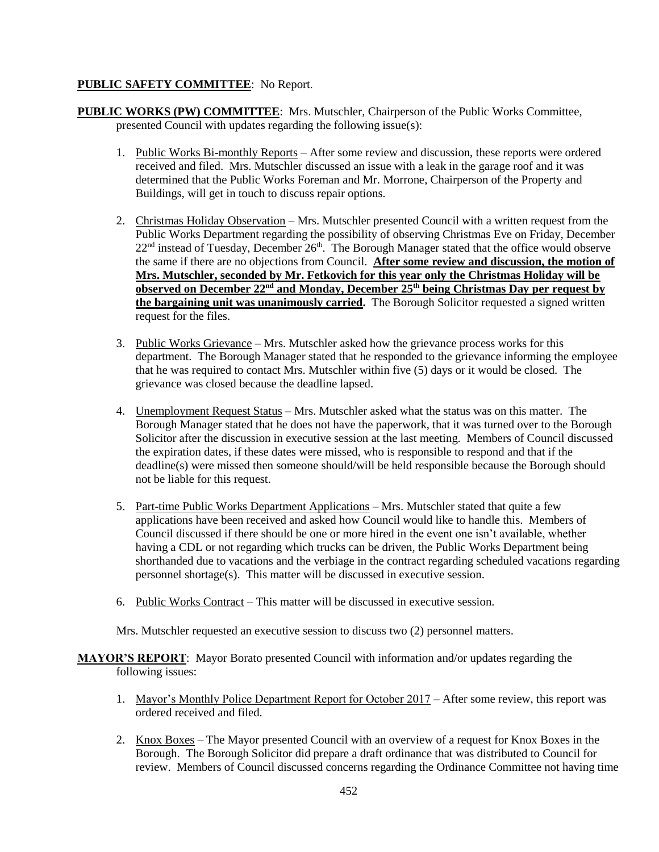# **PUBLIC SAFETY COMMITTEE**: No Report.

- **PUBLIC WORKS (PW) COMMITTEE**: Mrs. Mutschler, Chairperson of the Public Works Committee, presented Council with updates regarding the following issue(s):
	- 1. Public Works Bi-monthly Reports After some review and discussion, these reports were ordered received and filed. Mrs. Mutschler discussed an issue with a leak in the garage roof and it was determined that the Public Works Foreman and Mr. Morrone, Chairperson of the Property and Buildings, will get in touch to discuss repair options.
	- 2. Christmas Holiday Observation Mrs. Mutschler presented Council with a written request from the Public Works Department regarding the possibility of observing Christmas Eve on Friday, December  $22<sup>nd</sup>$  instead of Tuesday, December  $26<sup>th</sup>$ . The Borough Manager stated that the office would observe the same if there are no objections from Council. **After some review and discussion, the motion of Mrs. Mutschler, seconded by Mr. Fetkovich for this year only the Christmas Holiday will be observed on December 22nd and Monday, December 25th being Christmas Day per request by the bargaining unit was unanimously carried.** The Borough Solicitor requested a signed written request for the files.
	- 3. Public Works Grievance Mrs. Mutschler asked how the grievance process works for this department. The Borough Manager stated that he responded to the grievance informing the employee that he was required to contact Mrs. Mutschler within five (5) days or it would be closed. The grievance was closed because the deadline lapsed.
	- 4. Unemployment Request Status Mrs. Mutschler asked what the status was on this matter. The Borough Manager stated that he does not have the paperwork, that it was turned over to the Borough Solicitor after the discussion in executive session at the last meeting. Members of Council discussed the expiration dates, if these dates were missed, who is responsible to respond and that if the deadline(s) were missed then someone should/will be held responsible because the Borough should not be liable for this request.
	- 5. Part-time Public Works Department Applications Mrs. Mutschler stated that quite a few applications have been received and asked how Council would like to handle this. Members of Council discussed if there should be one or more hired in the event one isn't available, whether having a CDL or not regarding which trucks can be driven, the Public Works Department being shorthanded due to vacations and the verbiage in the contract regarding scheduled vacations regarding personnel shortage(s). This matter will be discussed in executive session.
	- 6. Public Works Contract This matter will be discussed in executive session.

Mrs. Mutschler requested an executive session to discuss two (2) personnel matters.

- **MAYOR'S REPORT**: Mayor Borato presented Council with information and/or updates regarding the following issues:
	- 1. Mayor's Monthly Police Department Report for October 2017 After some review, this report was ordered received and filed.
	- 2. Knox Boxes The Mayor presented Council with an overview of a request for Knox Boxes in the Borough. The Borough Solicitor did prepare a draft ordinance that was distributed to Council for review. Members of Council discussed concerns regarding the Ordinance Committee not having time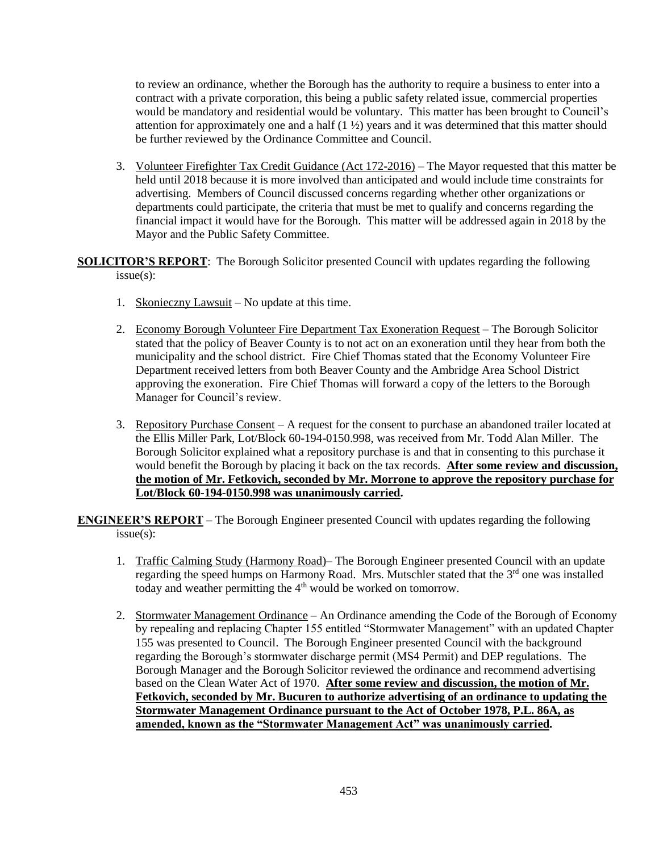to review an ordinance, whether the Borough has the authority to require a business to enter into a contract with a private corporation, this being a public safety related issue, commercial properties would be mandatory and residential would be voluntary. This matter has been brought to Council's attention for approximately one and a half  $(1 \frac{1}{2})$  years and it was determined that this matter should be further reviewed by the Ordinance Committee and Council.

3. Volunteer Firefighter Tax Credit Guidance (Act 172-2016) – The Mayor requested that this matter be held until 2018 because it is more involved than anticipated and would include time constraints for advertising. Members of Council discussed concerns regarding whether other organizations or departments could participate, the criteria that must be met to qualify and concerns regarding the financial impact it would have for the Borough. This matter will be addressed again in 2018 by the Mayor and the Public Safety Committee.

**SOLICITOR'S REPORT**: The Borough Solicitor presented Council with updates regarding the following issue(s):

- 1. Skonieczny Lawsuit No update at this time.
- 2. Economy Borough Volunteer Fire Department Tax Exoneration Request The Borough Solicitor stated that the policy of Beaver County is to not act on an exoneration until they hear from both the municipality and the school district. Fire Chief Thomas stated that the Economy Volunteer Fire Department received letters from both Beaver County and the Ambridge Area School District approving the exoneration. Fire Chief Thomas will forward a copy of the letters to the Borough Manager for Council's review.
- 3. Repository Purchase Consent A request for the consent to purchase an abandoned trailer located at the Ellis Miller Park, Lot/Block 60-194-0150.998, was received from Mr. Todd Alan Miller. The Borough Solicitor explained what a repository purchase is and that in consenting to this purchase it would benefit the Borough by placing it back on the tax records. **After some review and discussion, the motion of Mr. Fetkovich, seconded by Mr. Morrone to approve the repository purchase for Lot/Block 60-194-0150.998 was unanimously carried.**

**ENGINEER'S REPORT** – The Borough Engineer presented Council with updates regarding the following issue(s):

- 1. Traffic Calming Study (Harmony Road)– The Borough Engineer presented Council with an update regarding the speed humps on Harmony Road. Mrs. Mutschler stated that the 3<sup>rd</sup> one was installed today and weather permitting the 4<sup>th</sup> would be worked on tomorrow.
- 2. Stormwater Management Ordinance An Ordinance amending the Code of the Borough of Economy by repealing and replacing Chapter 155 entitled "Stormwater Management" with an updated Chapter 155 was presented to Council. The Borough Engineer presented Council with the background regarding the Borough's stormwater discharge permit (MS4 Permit) and DEP regulations. The Borough Manager and the Borough Solicitor reviewed the ordinance and recommend advertising based on the Clean Water Act of 1970. **After some review and discussion, the motion of Mr. Fetkovich, seconded by Mr. Bucuren to authorize advertising of an ordinance to updating the Stormwater Management Ordinance pursuant to the Act of October 1978, P.L. 86A, as amended, known as the "Stormwater Management Act" was unanimously carried.**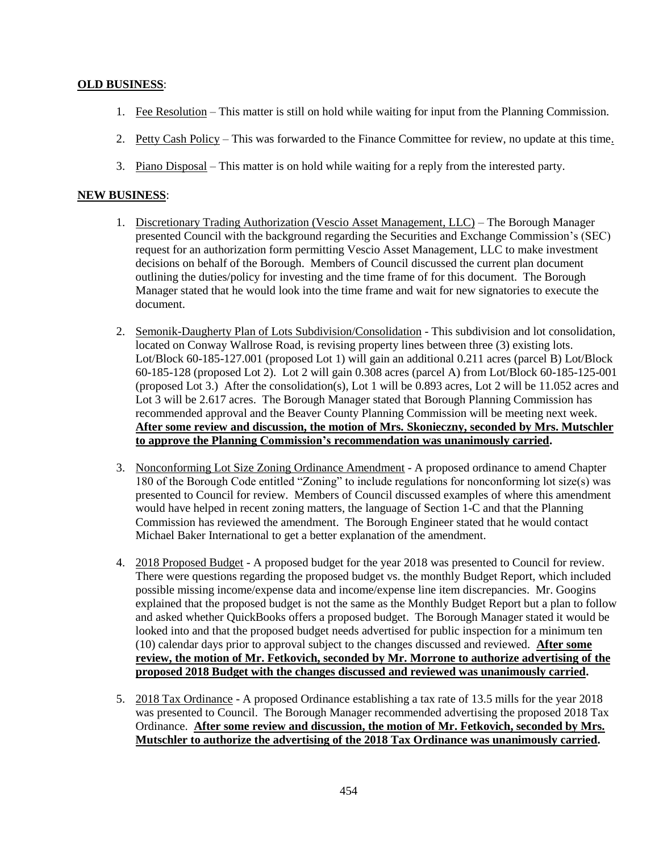# **OLD BUSINESS**:

- 1. Fee Resolution This matter is still on hold while waiting for input from the Planning Commission.
- 2. Petty Cash Policy This was forwarded to the Finance Committee for review, no update at this time.
- 3. Piano Disposal This matter is on hold while waiting for a reply from the interested party.

# **NEW BUSINESS**:

- 1. Discretionary Trading Authorization (Vescio Asset Management, LLC) The Borough Manager presented Council with the background regarding the Securities and Exchange Commission's (SEC) request for an authorization form permitting Vescio Asset Management, LLC to make investment decisions on behalf of the Borough. Members of Council discussed the current plan document outlining the duties/policy for investing and the time frame of for this document. The Borough Manager stated that he would look into the time frame and wait for new signatories to execute the document.
- 2. Semonik-Daugherty Plan of Lots Subdivision/Consolidation This subdivision and lot consolidation, located on Conway Wallrose Road, is revising property lines between three (3) existing lots. Lot/Block 60-185-127.001 (proposed Lot 1) will gain an additional 0.211 acres (parcel B) Lot/Block 60-185-128 (proposed Lot 2). Lot 2 will gain 0.308 acres (parcel A) from Lot/Block 60-185-125-001 (proposed Lot 3.) After the consolidation(s), Lot 1 will be 0.893 acres, Lot 2 will be 11.052 acres and Lot 3 will be 2.617 acres. The Borough Manager stated that Borough Planning Commission has recommended approval and the Beaver County Planning Commission will be meeting next week. **After some review and discussion, the motion of Mrs. Skonieczny, seconded by Mrs. Mutschler to approve the Planning Commission's recommendation was unanimously carried.**
- 3. Nonconforming Lot Size Zoning Ordinance Amendment A proposed ordinance to amend Chapter 180 of the Borough Code entitled "Zoning" to include regulations for nonconforming lot size(s) was presented to Council for review. Members of Council discussed examples of where this amendment would have helped in recent zoning matters, the language of Section 1-C and that the Planning Commission has reviewed the amendment. The Borough Engineer stated that he would contact Michael Baker International to get a better explanation of the amendment.
- 4. 2018 Proposed Budget A proposed budget for the year 2018 was presented to Council for review. There were questions regarding the proposed budget vs. the monthly Budget Report, which included possible missing income/expense data and income/expense line item discrepancies. Mr. Googins explained that the proposed budget is not the same as the Monthly Budget Report but a plan to follow and asked whether QuickBooks offers a proposed budget. The Borough Manager stated it would be looked into and that the proposed budget needs advertised for public inspection for a minimum ten (10) calendar days prior to approval subject to the changes discussed and reviewed. **After some review, the motion of Mr. Fetkovich, seconded by Mr. Morrone to authorize advertising of the proposed 2018 Budget with the changes discussed and reviewed was unanimously carried.**
- 5. 2018 Tax Ordinance A proposed Ordinance establishing a tax rate of 13.5 mills for the year 2018 was presented to Council. The Borough Manager recommended advertising the proposed 2018 Tax Ordinance. **After some review and discussion, the motion of Mr. Fetkovich, seconded by Mrs. Mutschler to authorize the advertising of the 2018 Tax Ordinance was unanimously carried.**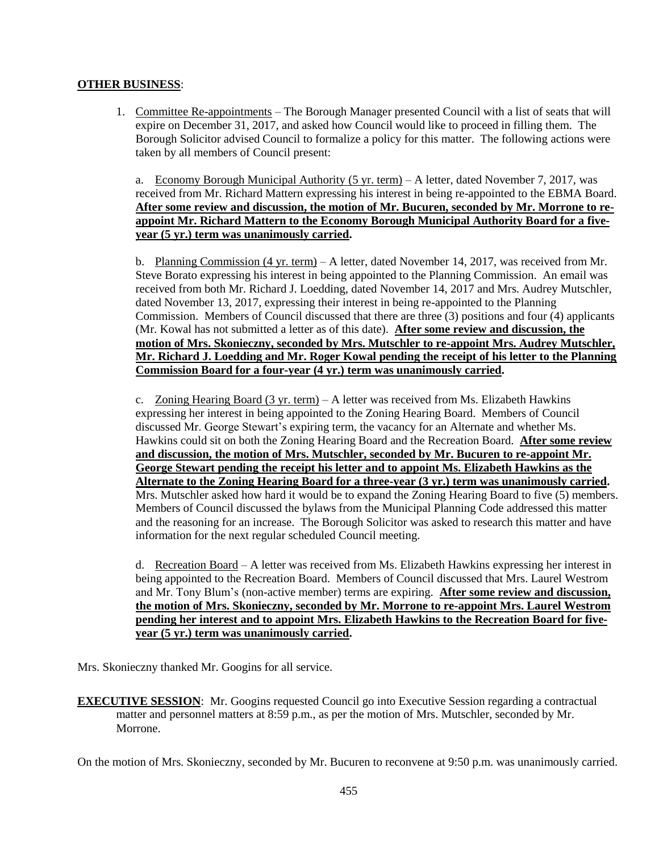# **OTHER BUSINESS**:

1. Committee Re-appointments – The Borough Manager presented Council with a list of seats that will expire on December 31, 2017, and asked how Council would like to proceed in filling them. The Borough Solicitor advised Council to formalize a policy for this matter. The following actions were taken by all members of Council present:

a. Economy Borough Municipal Authority (5 yr. term) – A letter, dated November 7, 2017, was received from Mr. Richard Mattern expressing his interest in being re-appointed to the EBMA Board. **After some review and discussion, the motion of Mr. Bucuren, seconded by Mr. Morrone to reappoint Mr. Richard Mattern to the Economy Borough Municipal Authority Board for a fiveyear (5 yr.) term was unanimously carried.**

b. Planning Commission (4 yr. term) – A letter, dated November 14, 2017, was received from Mr. Steve Borato expressing his interest in being appointed to the Planning Commission. An email was received from both Mr. Richard J. Loedding, dated November 14, 2017 and Mrs. Audrey Mutschler, dated November 13, 2017, expressing their interest in being re-appointed to the Planning Commission. Members of Council discussed that there are three (3) positions and four (4) applicants (Mr. Kowal has not submitted a letter as of this date). **After some review and discussion, the motion of Mrs. Skonieczny, seconded by Mrs. Mutschler to re-appoint Mrs. Audrey Mutschler, Mr. Richard J. Loedding and Mr. Roger Kowal pending the receipt of his letter to the Planning Commission Board for a four-year (4 yr.) term was unanimously carried.**

c. Zoning Hearing Board  $(3 \text{ yr. term}) - A$  letter was received from Ms. Elizabeth Hawkins expressing her interest in being appointed to the Zoning Hearing Board. Members of Council discussed Mr. George Stewart's expiring term, the vacancy for an Alternate and whether Ms. Hawkins could sit on both the Zoning Hearing Board and the Recreation Board. **After some review and discussion, the motion of Mrs. Mutschler, seconded by Mr. Bucuren to re-appoint Mr. George Stewart pending the receipt his letter and to appoint Ms. Elizabeth Hawkins as the Alternate to the Zoning Hearing Board for a three-year (3 yr.) term was unanimously carried.** Mrs. Mutschler asked how hard it would be to expand the Zoning Hearing Board to five (5) members. Members of Council discussed the bylaws from the Municipal Planning Code addressed this matter and the reasoning for an increase. The Borough Solicitor was asked to research this matter and have information for the next regular scheduled Council meeting.

d. Recreation Board – A letter was received from Ms. Elizabeth Hawkins expressing her interest in being appointed to the Recreation Board. Members of Council discussed that Mrs. Laurel Westrom and Mr. Tony Blum's (non-active member) terms are expiring. **After some review and discussion, the motion of Mrs. Skonieczny, seconded by Mr. Morrone to re-appoint Mrs. Laurel Westrom pending her interest and to appoint Mrs. Elizabeth Hawkins to the Recreation Board for fiveyear (5 yr.) term was unanimously carried.**

Mrs. Skonieczny thanked Mr. Googins for all service.

**EXECUTIVE SESSION:** Mr. Googins requested Council go into Executive Session regarding a contractual matter and personnel matters at 8:59 p.m., as per the motion of Mrs. Mutschler, seconded by Mr. Morrone.

On the motion of Mrs. Skonieczny, seconded by Mr. Bucuren to reconvene at 9:50 p.m. was unanimously carried.